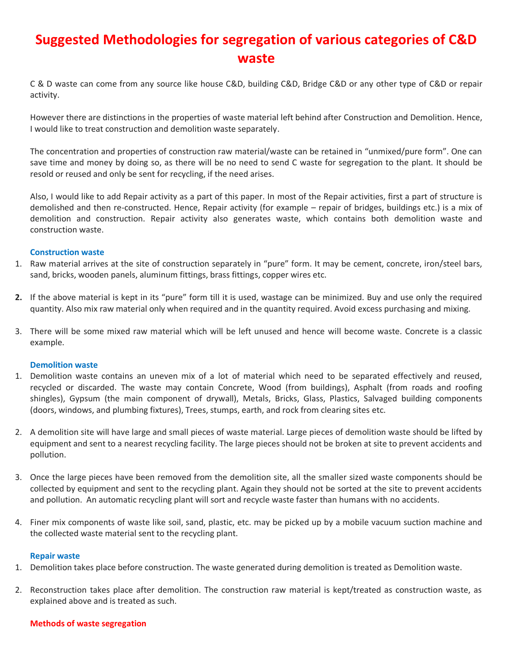# **Suggested Methodologies for segregation of various categories of C&D waste**

C & D waste can come from any source like house C&D, building C&D, Bridge C&D or any other type of C&D or repair activity.

However there are distinctions in the properties of waste material left behind after Construction and Demolition. Hence, I would like to treat construction and demolition waste separately.

The concentration and properties of construction raw material/waste can be retained in "unmixed/pure form". One can save time and money by doing so, as there will be no need to send C waste for segregation to the plant. It should be resold or reused and only be sent for recycling, if the need arises.

Also, I would like to add Repair activity as a part of this paper. In most of the Repair activities, first a part of structure is demolished and then re-constructed. Hence, Repair activity (for example – repair of bridges, buildings etc.) is a mix of demolition and construction. Repair activity also generates waste, which contains both demolition waste and construction waste.

### **Construction waste**

- 1. Raw material arrives at the site of construction separately in "pure" form. It may be cement, concrete, iron/steel bars, sand, bricks, wooden panels, aluminum fittings, brass fittings, copper wires etc.
- **2.** If the above material is kept in its "pure" form till it is used, wastage can be minimized. Buy and use only the required quantity. Also mix raw material only when required and in the quantity required. Avoid excess purchasing and mixing.
- 3. There will be some mixed raw material which will be left unused and hence will become waste. Concrete is a classic example.

#### **Demolition waste**

- 1. Demolition waste contains an uneven mix of a lot of material which need to be separated effectively and reused, recycled or discarded. The waste may contain Concrete, Wood (from buildings), Asphalt (from roads and roofing shingles), Gypsum (the main component of drywall), Metals, Bricks, Glass, Plastics, Salvaged building components (doors, windows, and plumbing fixtures), Trees, stumps, earth, and rock from clearing sites etc.
- 2. A demolition site will have large and small pieces of waste material. Large pieces of demolition waste should be lifted by equipment and sent to a nearest recycling facility. The large pieces should not be broken at site to prevent accidents and pollution.
- 3. Once the large pieces have been removed from the demolition site, all the smaller sized waste components should be collected by equipment and sent to the recycling plant. Again they should not be sorted at the site to prevent accidents and pollution. An automatic recycling plant will sort and recycle waste faster than humans with no accidents.
- 4. Finer mix components of waste like soil, sand, plastic, etc. may be picked up by a mobile vacuum suction machine and the collected waste material sent to the recycling plant.

#### **Repair waste**

- 1. Demolition takes place before construction. The waste generated during demolition is treated as Demolition waste.
- 2. Reconstruction takes place after demolition. The construction raw material is kept/treated as construction waste, as explained above and is treated as such.

#### **Methods of waste segregation**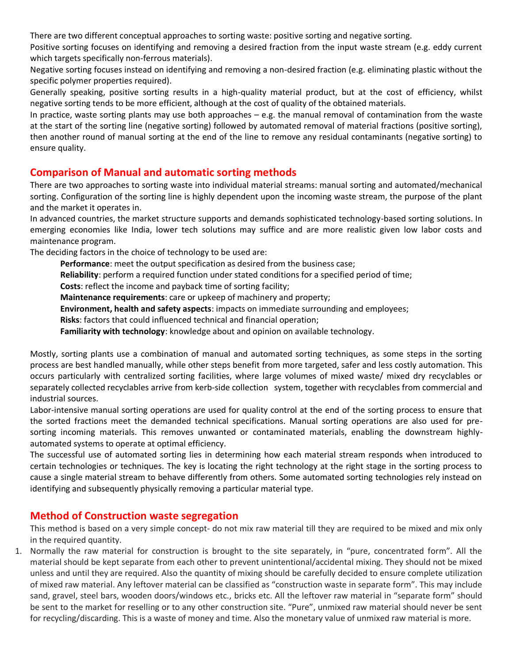There are two different conceptual approaches to sorting waste: positive sorting and negative sorting.

Positive sorting focuses on identifying and removing a desired fraction from the input waste stream (e.g. eddy current which targets specifically non-ferrous materials).

Negative sorting focuses instead on identifying and removing a non-desired fraction (e.g. eliminating plastic without the specific polymer properties required).

Generally speaking, positive sorting results in a high-quality material product, but at the cost of efficiency, whilst negative sorting tends to be more efficient, although at the cost of quality of the obtained materials.

In practice, waste sorting plants may use both approaches  $- e.g.$  the manual removal of contamination from the waste at the start of the sorting line (negative sorting) followed by automated removal of material fractions (positive sorting), then another round of manual sorting at the end of the line to remove any residual contaminants (negative sorting) to ensure quality.

# **Comparison of Manual and automatic sorting methods**

There are two approaches to sorting waste into individual material streams: manual sorting and automated/mechanical sorting. Configuration of the sorting line is highly dependent upon the incoming waste stream, the purpose of the plant and the market it operates in.

In advanced countries, the market structure supports and demands sophisticated technology-based sorting solutions. In emerging economies like India, lower tech solutions may suffice and are more realistic given low labor costs and maintenance program.

The deciding factors in the choice of technology to be used are:

**Performance**: meet the output specification as desired from the business case;

**Reliability**: perform a required function under stated conditions for a specified period of time;

**Costs**: reflect the income and payback time of sorting facility;

**Maintenance requirements**: care or upkeep of machinery and property;

**Environment, health and safety aspects**: impacts on immediate surrounding and employees;

**Risks**: factors that could influenced technical and financial operation;

**Familiarity with technology**: knowledge about and opinion on available technology.

Mostly, sorting plants use a combination of manual and automated sorting techniques, as some steps in the sorting process are best handled manually, while other steps benefit from more targeted, safer and less costly automation. This occurs particularly with centralized sorting facilities, where large volumes of mixed waste/ mixed dry recyclables or separately collected recyclables arrive from kerb-side collection system, together with recyclables from commercial and industrial sources.

Labor-intensive manual sorting operations are used for quality control at the end of the sorting process to ensure that the sorted fractions meet the demanded technical specifications. Manual sorting operations are also used for presorting incoming materials. This removes unwanted or contaminated materials, enabling the downstream highlyautomated systems to operate at optimal efficiency.

The successful use of automated sorting lies in determining how each material stream responds when introduced to certain technologies or techniques. The key is locating the right technology at the right stage in the sorting process to cause a single material stream to behave differently from others. Some automated sorting technologies rely instead on identifying and subsequently physically removing a particular material type.

# **Method of Construction waste segregation**

This method is based on a very simple concept- do not mix raw material till they are required to be mixed and mix only in the required quantity.

1. Normally the raw material for construction is brought to the site separately, in "pure, concentrated form". All the material should be kept separate from each other to prevent unintentional/accidental mixing. They should not be mixed unless and until they are required. Also the quantity of mixing should be carefully decided to ensure complete utilization of mixed raw material. Any leftover material can be classified as "construction waste in separate form". This may include sand, gravel, steel bars, wooden doors/windows etc., bricks etc. All the leftover raw material in "separate form" should be sent to the market for reselling or to any other construction site. "Pure", unmixed raw material should never be sent for recycling/discarding. This is a waste of money and time. Also the monetary value of unmixed raw material is more.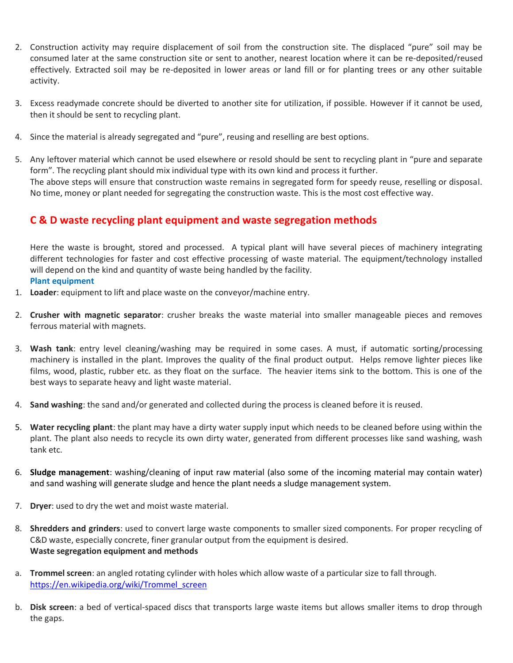- 2. Construction activity may require displacement of soil from the construction site. The displaced "pure" soil may be consumed later at the same construction site or sent to another, nearest location where it can be re-deposited/reused effectively. Extracted soil may be re-deposited in lower areas or land fill or for planting trees or any other suitable activity.
- 3. Excess readymade concrete should be diverted to another site for utilization, if possible. However if it cannot be used, then it should be sent to recycling plant.
- 4. Since the material is already segregated and "pure", reusing and reselling are best options.
- 5. Any leftover material which cannot be used elsewhere or resold should be sent to recycling plant in "pure and separate form". The recycling plant should mix individual type with its own kind and process it further. The above steps will ensure that construction waste remains in segregated form for speedy reuse, reselling or disposal. No time, money or plant needed for segregating the construction waste. This is the most cost effective way.

### **C & D waste recycling plant equipment and waste segregation methods**

Here the waste is brought, stored and processed. A typical plant will have several pieces of machinery integrating different technologies for faster and cost effective processing of waste material. The equipment/technology installed will depend on the kind and quantity of waste being handled by the facility. **Plant equipment** 

- 1. **Loader**: equipment to lift and place waste on the conveyor/machine entry.
- 2. **Crusher with magnetic separator**: crusher breaks the waste material into smaller manageable pieces and removes ferrous material with magnets.
- 3. **Wash tank**: entry level cleaning/washing may be required in some cases. A must, if automatic sorting/processing machinery is installed in the plant. Improves the quality of the final product output. Helps remove lighter pieces like films, wood, plastic, rubber etc. as they float on the surface. The heavier items sink to the bottom. This is one of the best ways to separate heavy and light waste material.
- 4. **Sand washing**: the sand and/or generated and collected during the process is cleaned before it is reused.
- 5. **Water recycling plant**: the plant may have a dirty water supply input which needs to be cleaned before using within the plant. The plant also needs to recycle its own dirty water, generated from different processes like sand washing, wash tank etc.
- 6. **Sludge management**: washing/cleaning of input raw material (also some of the incoming material may contain water) and sand washing will generate sludge and hence the plant needs a sludge management system.
- 7. **Dryer**: used to dry the wet and moist waste material.
- 8. **Shredders and grinders**: used to convert large waste components to smaller sized components. For proper recycling of C&D waste, especially concrete, finer granular output from the equipment is desired. **Waste segregation equipment and methods**
- a. **Trommel screen**: an angled rotating cylinder with holes which allow waste of a particular size to fall through. [https://en.wikipedia.org/wiki/Trommel\\_screen](https://en.wikipedia.org/wiki/Trommel_screen)
- b. **Disk screen**: a bed of vertical-spaced discs that transports large waste items but allows smaller items to drop through the gaps.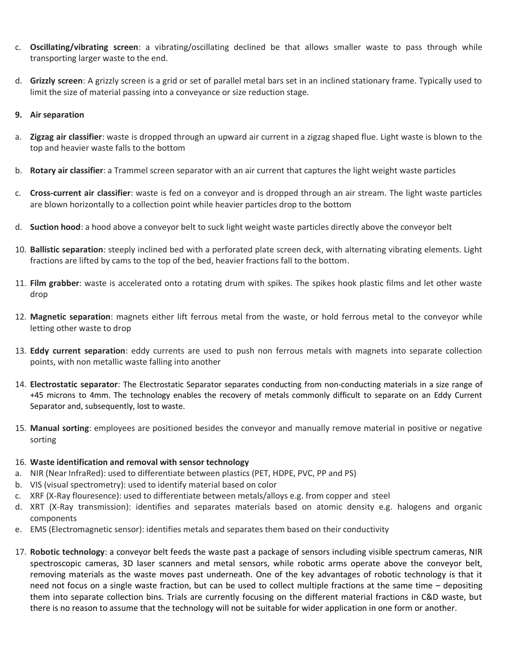- c. **Oscillating/vibrating screen**: a vibrating/oscillating declined be that allows smaller waste to pass through while transporting larger waste to the end.
- d. **Grizzly screen**: A grizzly screen is a grid or set of parallel metal bars set in an inclined stationary frame. Typically used to limit the size of material passing into a conveyance or size reduction stage.

### **9. Air separation**

- a. **Zigzag air classifier**: waste is dropped through an upward air current in a zigzag shaped flue. Light waste is blown to the top and heavier waste falls to the bottom
- b. **Rotary air classifier**: a Trammel screen separator with an air current that captures the light weight waste particles
- c. **Cross-current air classifier**: waste is fed on a conveyor and is dropped through an air stream. The light waste particles are blown horizontally to a collection point while heavier particles drop to the bottom
- d. **Suction hood**: a hood above a conveyor belt to suck light weight waste particles directly above the conveyor belt
- 10. **Ballistic separation**: steeply inclined bed with a perforated plate screen deck, with alternating vibrating elements. Light fractions are lifted by cams to the top of the bed, heavier fractions fall to the bottom.
- 11. **Film grabber**: waste is accelerated onto a rotating drum with spikes. The spikes hook plastic films and let other waste drop
- 12. **Magnetic separation**: magnets either lift ferrous metal from the waste, or hold ferrous metal to the conveyor while letting other waste to drop
- 13. **Eddy current separation**: eddy currents are used to push non ferrous metals with magnets into separate collection points, with non metallic waste falling into another
- 14. **Electrostatic separator**: The Electrostatic Separator separates conducting from non-conducting materials in a size range of +45 microns to 4mm. The technology enables the recovery of metals commonly difficult to separate on an Eddy Current Separator and, subsequently, lost to waste.
- 15. **Manual sorting**: employees are positioned besides the conveyor and manually remove material in positive or negative sorting

### 16. **Waste identification and removal with sensor technology**

- a. NIR (Near InfraRed): used to differentiate between plastics (PET, HDPE, PVC, PP and PS)
- b. VIS (visual spectrometry): used to identify material based on color
- c. XRF (X-Ray flouresence): used to differentiate between metals/alloys e.g. from copper and steel
- d. XRT (X-Ray transmission): identifies and separates materials based on atomic density e.g. halogens and organic components
- e. EMS (Electromagnetic sensor): identifies metals and separates them based on their conductivity
- 17. **Robotic technology**: a conveyor belt feeds the waste past a package of sensors including visible spectrum cameras, NIR spectroscopic cameras, 3D laser scanners and metal sensors, while robotic arms operate above the conveyor belt, removing materials as the waste moves past underneath. One of the key advantages of robotic technology is that it need not focus on a single waste fraction, but can be used to collect multiple fractions at the same time – depositing them into separate collection bins. Trials are currently focusing on the different material fractions in C&D waste, but there is no reason to assume that the technology will not be suitable for wider application in one form or another.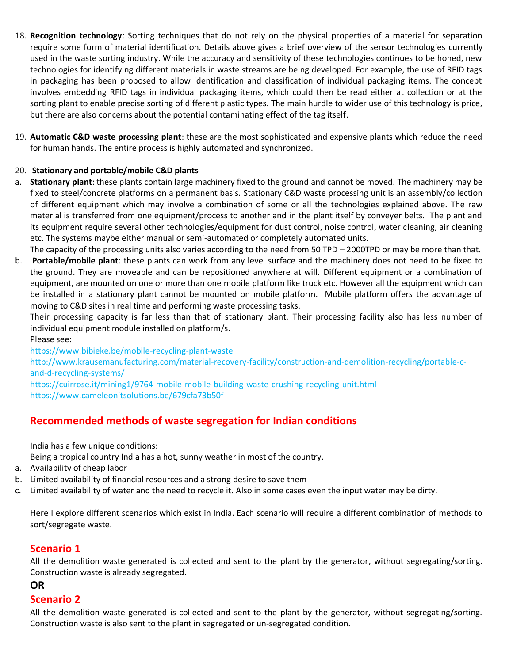- 18. **Recognition technology**: Sorting techniques that do not rely on the physical properties of a material for separation require some form of material identification. Details above gives a brief overview of the sensor technologies currently used in the waste sorting industry. While the accuracy and sensitivity of these technologies continues to be honed, new technologies for identifying different materials in waste streams are being developed. For example, the use of RFID tags in packaging has been proposed to allow identification and classification of individual packaging items. The concept involves embedding RFID tags in individual packaging items, which could then be read either at collection or at the sorting plant to enable precise sorting of different plastic types. The main hurdle to wider use of this technology is price, but there are also concerns about the potential contaminating effect of the tag itself.
- 19. **Automatic C&D waste processing plant**: these are the most sophisticated and expensive plants which reduce the need for human hands. The entire process is highly automated and synchronized.

### 20. **Stationary and portable/mobile C&D plants**

- a. **Stationary plant**: these plants contain large machinery fixed to the ground and cannot be moved. The machinery may be fixed to steel/concrete platforms on a permanent basis. Stationary C&D waste processing unit is an assembly/collection of different equipment which may involve a combination of some or all the technologies explained above. The raw material is transferred from one equipment/process to another and in the plant itself by conveyer belts. The plant and its equipment require several other technologies/equipment for dust control, noise control, water cleaning, air cleaning etc. The systems maybe either manual or semi-automated or completely automated units.
- The capacity of the processing units also varies according to the need from 50 TPD 2000TPD or may be more than that.
- b. **Portable/mobile plant**: these plants can work from any level surface and the machinery does not need to be fixed to the ground. They are moveable and can be repositioned anywhere at will. Different equipment or a combination of equipment, are mounted on one or more than one mobile platform like truck etc. However all the equipment which can be installed in a stationary plant cannot be mounted on mobile platform. Mobile platform offers the advantage of moving to C&D sites in real time and performing waste processing tasks.

Their processing capacity is far less than that of stationary plant. Their processing facility also has less number of individual equipment module installed on platform/s.

Please see:

https://www.bibieke.be/mobile-recycling-plant-waste

[http://www.krausemanufacturing.com/material-recovery-facility/construction-and-demolition-recycling/portable-c](http://www.krausemanufacturing.com/material-recovery-facility/construction-and-demolition-recycling/portable-c-and-d-recycling-systems/)[and-d-recycling-systems/](http://www.krausemanufacturing.com/material-recovery-facility/construction-and-demolition-recycling/portable-c-and-d-recycling-systems/)

<https://cuirrose.it/mining1/9764-mobile-mobile-building-waste-crushing-recycling-unit.html> https://www.cameleonitsolutions.be/679cfa73b50f

# **Recommended methods of waste segregation for Indian conditions**

India has a few unique conditions:

Being a tropical country India has a hot, sunny weather in most of the country.

- a. Availability of cheap labor
- b. Limited availability of financial resources and a strong desire to save them
- c. Limited availability of water and the need to recycle it. Also in some cases even the input water may be dirty.

Here I explore different scenarios which exist in India. Each scenario will require a different combination of methods to sort/segregate waste.

# **Scenario 1**

All the demolition waste generated is collected and sent to the plant by the generator, without segregating/sorting. Construction waste is already segregated.

# **OR**

### **Scenario 2**

All the demolition waste generated is collected and sent to the plant by the generator, without segregating/sorting. Construction waste is also sent to the plant in segregated or un-segregated condition.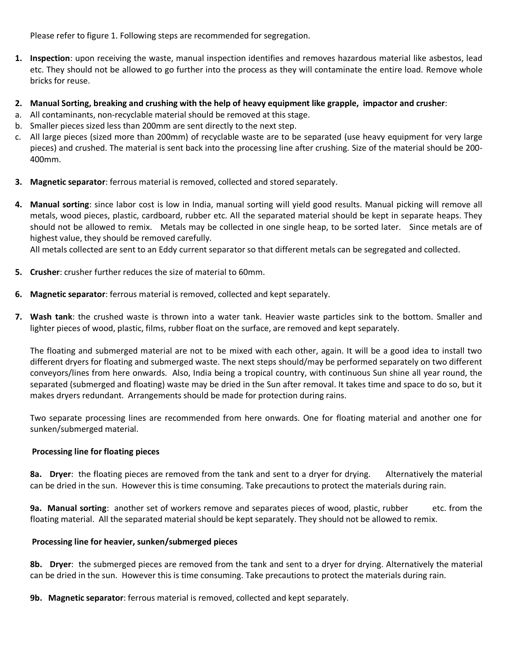Please refer to figure 1. Following steps are recommended for segregation.

- **1. Inspection**: upon receiving the waste, manual inspection identifies and removes hazardous material like asbestos, lead etc. They should not be allowed to go further into the process as they will contaminate the entire load. Remove whole bricks for reuse.
- **2. Manual Sorting, breaking and crushing with the help of heavy equipment like grapple, impactor and crusher**:
- a. All contaminants, non-recyclable material should be removed at this stage.
- b. Smaller pieces sized less than 200mm are sent directly to the next step.
- c. All large pieces (sized more than 200mm) of recyclable waste are to be separated (use heavy equipment for very large pieces) and crushed. The material is sent back into the processing line after crushing. Size of the material should be 200- 400mm.
- **3. Magnetic separator**: ferrous material is removed, collected and stored separately.
- **4. Manual sorting**: since labor cost is low in India, manual sorting will yield good results. Manual picking will remove all metals, wood pieces, plastic, cardboard, rubber etc. All the separated material should be kept in separate heaps. They should not be allowed to remix. Metals may be collected in one single heap, to be sorted later. Since metals are of highest value, they should be removed carefully.

All metals collected are sent to an Eddy current separator so that different metals can be segregated and collected.

- **5. Crusher**: crusher further reduces the size of material to 60mm.
- **6. Magnetic separator**: ferrous material is removed, collected and kept separately.
- **7. Wash tank**: the crushed waste is thrown into a water tank. Heavier waste particles sink to the bottom. Smaller and lighter pieces of wood, plastic, films, rubber float on the surface, are removed and kept separately.

The floating and submerged material are not to be mixed with each other, again. It will be a good idea to install two different dryers for floating and submerged waste. The next steps should/may be performed separately on two different conveyors/lines from here onwards. Also, India being a tropical country, with continuous Sun shine all year round, the separated (submerged and floating) waste may be dried in the Sun after removal. It takes time and space to do so, but it makes dryers redundant. Arrangements should be made for protection during rains.

Two separate processing lines are recommended from here onwards. One for floating material and another one for sunken/submerged material.

### **Processing line for floating pieces**

**8a. Dryer**: the floating pieces are removed from the tank and sent to a dryer for drying. Alternatively the material can be dried in the sun. However this is time consuming. Take precautions to protect the materials during rain.

**9a. Manual sorting**: another set of workers remove and separates pieces of wood, plastic, rubber etc. from the floating material. All the separated material should be kept separately. They should not be allowed to remix.

### **Processing line for heavier, sunken/submerged pieces**

**8b. Dryer**: the submerged pieces are removed from the tank and sent to a dryer for drying. Alternatively the material can be dried in the sun. However this is time consuming. Take precautions to protect the materials during rain.

**9b. Magnetic separator**: ferrous material is removed, collected and kept separately.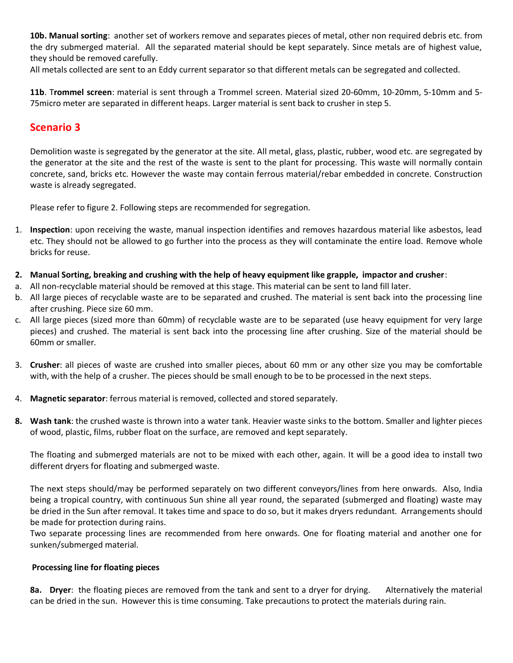**10b. Manual sorting**: another set of workers remove and separates pieces of metal, other non required debris etc. from the dry submerged material. All the separated material should be kept separately. Since metals are of highest value, they should be removed carefully.

All metals collected are sent to an Eddy current separator so that different metals can be segregated and collected.

**11b**. T**rommel screen**: material is sent through a Trommel screen. Material sized 20-60mm, 10-20mm, 5-10mm and 5- 75micro meter are separated in different heaps. Larger material is sent back to crusher in step 5.

# **Scenario 3**

Demolition waste is segregated by the generator at the site. All metal, glass, plastic, rubber, wood etc. are segregated by the generator at the site and the rest of the waste is sent to the plant for processing. This waste will normally contain concrete, sand, bricks etc. However the waste may contain ferrous material/rebar embedded in concrete. Construction waste is already segregated.

Please refer to figure 2. Following steps are recommended for segregation.

- 1. **Inspection**: upon receiving the waste, manual inspection identifies and removes hazardous material like asbestos, lead etc. They should not be allowed to go further into the process as they will contaminate the entire load. Remove whole bricks for reuse.
- **2. Manual Sorting, breaking and crushing with the help of heavy equipment like grapple, impactor and crusher**:
- a. All non-recyclable material should be removed at this stage. This material can be sent to land fill later.
- b. All large pieces of recyclable waste are to be separated and crushed. The material is sent back into the processing line after crushing. Piece size 60 mm.
- c. All large pieces (sized more than 60mm) of recyclable waste are to be separated (use heavy equipment for very large pieces) and crushed. The material is sent back into the processing line after crushing. Size of the material should be 60mm or smaller.
- 3. **Crusher**: all pieces of waste are crushed into smaller pieces, about 60 mm or any other size you may be comfortable with, with the help of a crusher. The pieces should be small enough to be to be processed in the next steps.
- 4. **Magnetic separator**: ferrous material is removed, collected and stored separately.
- **8. Wash tank**: the crushed waste is thrown into a water tank. Heavier waste sinks to the bottom. Smaller and lighter pieces of wood, plastic, films, rubber float on the surface, are removed and kept separately.

The floating and submerged materials are not to be mixed with each other, again. It will be a good idea to install two different dryers for floating and submerged waste.

The next steps should/may be performed separately on two different conveyors/lines from here onwards. Also, India being a tropical country, with continuous Sun shine all year round, the separated (submerged and floating) waste may be dried in the Sun after removal. It takes time and space to do so, but it makes dryers redundant. Arrangements should be made for protection during rains.

Two separate processing lines are recommended from here onwards. One for floating material and another one for sunken/submerged material.

### **Processing line for floating pieces**

**8a. Dryer**: the floating pieces are removed from the tank and sent to a dryer for drying. Alternatively the material can be dried in the sun. However this is time consuming. Take precautions to protect the materials during rain.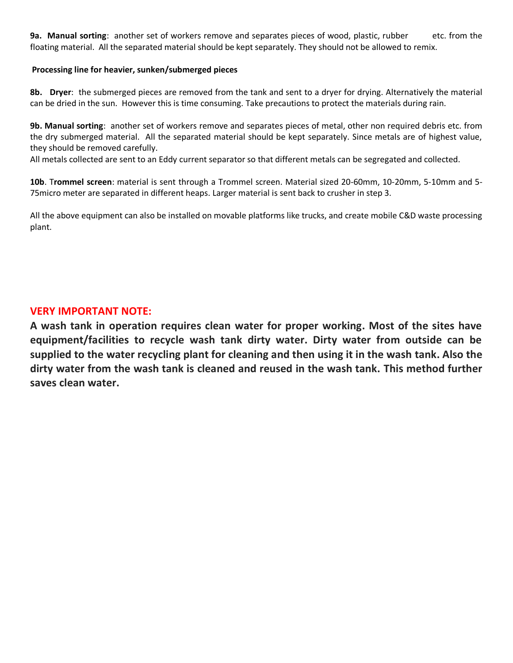**9a. Manual sorting**: another set of workers remove and separates pieces of wood, plastic, rubber etc. from the floating material. All the separated material should be kept separately. They should not be allowed to remix.

### **Processing line for heavier, sunken/submerged pieces**

**8b. Dryer**: the submerged pieces are removed from the tank and sent to a dryer for drying. Alternatively the material can be dried in the sun. However this is time consuming. Take precautions to protect the materials during rain.

**9b. Manual sorting**: another set of workers remove and separates pieces of metal, other non required debris etc. from the dry submerged material. All the separated material should be kept separately. Since metals are of highest value, they should be removed carefully.

All metals collected are sent to an Eddy current separator so that different metals can be segregated and collected.

**10b**. T**rommel screen**: material is sent through a Trommel screen. Material sized 20-60mm, 10-20mm, 5-10mm and 5- 75micro meter are separated in different heaps. Larger material is sent back to crusher in step 3.

All the above equipment can also be installed on movable platforms like trucks, and create mobile C&D waste processing plant.

### **VERY IMPORTANT NOTE:**

**A wash tank in operation requires clean water for proper working. Most of the sites have equipment/facilities to recycle wash tank dirty water. Dirty water from outside can be supplied to the water recycling plant for cleaning and then using it in the wash tank. Also the dirty water from the wash tank is cleaned and reused in the wash tank. This method further saves clean water.**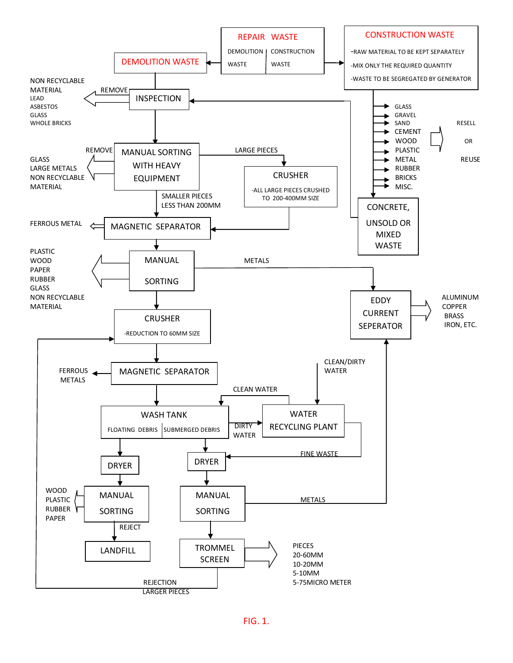

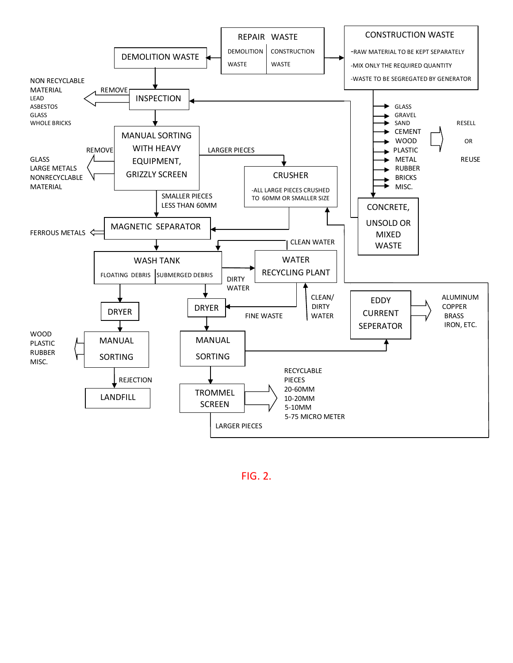

FIG. 2.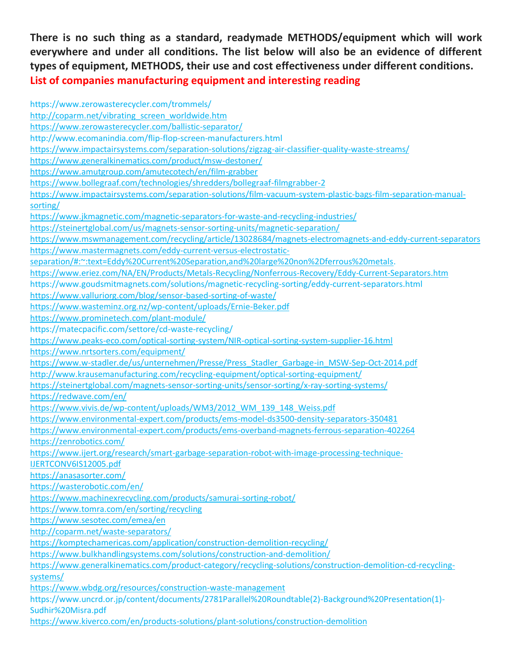**There is no such thing as a standard, readymade METHODS/equipment which will work everywhere and under all conditions. The list below will also be an evidence of different types of equipment, METHODS, their use and cost effectiveness under different conditions. List of companies manufacturing equipment and interesting reading**

https://www.zerowasterecycler.com/trommels/ [http://coparm.net/vibrating\\_screen\\_worldwide.htm](http://coparm.net/vibrating_screen_worldwide.htm) <https://www.zerowasterecycler.com/ballistic-separator/> http://www.ecomanindia.com/flip-flop-screen-manufacturers.html <https://www.impactairsystems.com/separation-solutions/zigzag-air-classifier-quality-waste-streams/> <https://www.generalkinematics.com/product/msw-destoner/> <https://www.amutgroup.com/amutecotech/en/film-grabber> <https://www.bollegraaf.com/technologies/shredders/bollegraaf-filmgrabber-2> [https://www.impactairsystems.com/separation-solutions/film-vacuum-system-plastic-bags-film-separation-manual](https://www.impactairsystems.com/separation-solutions/film-vacuum-system-plastic-bags-film-separation-manual-sorting/)[sorting/](https://www.impactairsystems.com/separation-solutions/film-vacuum-system-plastic-bags-film-separation-manual-sorting/) <https://www.jkmagnetic.com/magnetic-separators-for-waste-and-recycling-industries/> <https://steinertglobal.com/us/magnets-sensor-sorting-units/magnetic-separation/> <https://www.mswmanagement.com/recycling/article/13028684/magnets-electromagnets-and-eddy-current-separators> [https://www.mastermagnets.com/eddy-current-versus-electrostatic](https://www.mastermagnets.com/eddy-current-versus-electrostatic-separation/#:~:text=Eddy%20Current%20Separation,and%20large%20non%2Dferrous%20metals)[separation/#:~:text=Eddy%20Current%20Separation,and%20large%20non%2Dferrous%20metals.](https://www.mastermagnets.com/eddy-current-versus-electrostatic-separation/#:~:text=Eddy%20Current%20Separation,and%20large%20non%2Dferrous%20metals) <https://www.eriez.com/NA/EN/Products/Metals-Recycling/Nonferrous-Recovery/Eddy-Current-Separators.htm> https://www.goudsmitmagnets.com/solutions/magnetic-recycling-sorting/eddy-current-separators.html <https://www.valluriorg.com/blog/sensor-based-sorting-of-waste/> <https://www.wasteminz.org.nz/wp-content/uploads/Ernie-Beker.pdf> <https://www.prominetech.com/plant-module/> https://matecpacific.com/settore/cd-waste-recycling/ <https://www.peaks-eco.com/optical-sorting-system/NIR-optical-sorting-system-supplier-16.html> <https://www.nrtsorters.com/equipment/> [https://www.w-stadler.de/us/unternehmen/Presse/Press\\_Stadler\\_Garbage-in\\_MSW-Sep-Oct-2014.pdf](https://www.w-stadler.de/us/unternehmen/Presse/Press_Stadler_Garbage-in_MSW-Sep-Oct-2014.pdf) <http://www.krausemanufacturing.com/recycling-equipment/optical-sorting-equipment/> <https://steinertglobal.com/magnets-sensor-sorting-units/sensor-sorting/x-ray-sorting-systems/> <https://redwave.com/en/> [https://www.vivis.de/wp-content/uploads/WM3/2012\\_WM\\_139\\_148\\_Weiss.pdf](https://www.vivis.de/wp-content/uploads/WM3/2012_WM_139_148_Weiss.pdf) <https://www.environmental-expert.com/products/ems-model-ds3500-density-separators-350481> <https://www.environmental-expert.com/products/ems-overband-magnets-ferrous-separation-402264> <https://zenrobotics.com/> [https://www.ijert.org/research/smart-garbage-separation-robot-with-image-processing-technique-](https://www.ijert.org/research/smart-garbage-separation-robot-with-image-processing-technique-IJERTCONV6IS12005.pdf)[IJERTCONV6IS12005.pdf](https://www.ijert.org/research/smart-garbage-separation-robot-with-image-processing-technique-IJERTCONV6IS12005.pdf) <https://anasasorter.com/> <https://wasterobotic.com/en/> <https://www.machinexrecycling.com/products/samurai-sorting-robot/> <https://www.tomra.com/en/sorting/recycling> <https://www.sesotec.com/emea/en> <http://coparm.net/waste-separators/> <https://komptechamericas.com/application/construction-demolition-recycling/> <https://www.bulkhandlingsystems.com/solutions/construction-and-demolition/> [https://www.generalkinematics.com/product-category/recycling-solutions/construction-demolition-cd-recycling](https://www.generalkinematics.com/product-category/recycling-solutions/construction-demolition-cd-recycling-systems/)[systems/](https://www.generalkinematics.com/product-category/recycling-solutions/construction-demolition-cd-recycling-systems/) <https://www.wbdg.org/resources/construction-waste-management> https://www.uncrd.or.jp/content/documents/2781Parallel%20Roundtable(2)-Background%20Presentation(1)- Sudhir%20Misra.pdf <https://www.kiverco.com/en/products-solutions/plant-solutions/construction-demolition>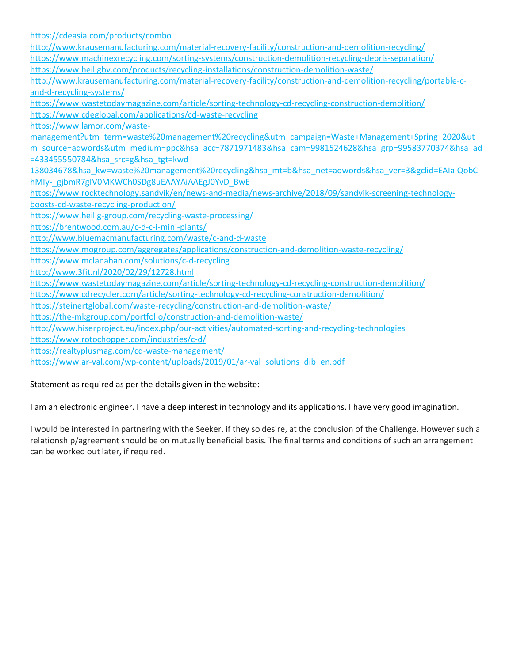https://cdeasia.com/products/combo <http://www.krausemanufacturing.com/material-recovery-facility/construction-and-demolition-recycling/> <https://www.machinexrecycling.com/sorting-systems/construction-demolition-recycling-debris-separation/> <https://www.heiligbv.com/products/recycling-installations/construction-demolition-waste/> [http://www.krausemanufacturing.com/material-recovery-facility/construction-and-demolition-recycling/portable-c](http://www.krausemanufacturing.com/material-recovery-facility/construction-and-demolition-recycling/portable-c-and-d-recycling-systems/)[and-d-recycling-systems/](http://www.krausemanufacturing.com/material-recovery-facility/construction-and-demolition-recycling/portable-c-and-d-recycling-systems/) <https://www.wastetodaymagazine.com/article/sorting-technology-cd-recycling-construction-demolition/> <https://www.cdeglobal.com/applications/cd-waste-recycling> https://www.lamor.com/wastemanagement?utm\_term=waste%20management%20recycling&utm\_campaign=Waste+Management+Spring+2020&ut m source=adwords&utm\_medium=ppc&hsa\_acc=7871971483&hsa\_cam=9981524628&hsa\_grp=99583770374&hsa\_ad =433455550784&hsa\_src=g&hsa\_tgt=kwd-138034678&hsa\_kw=waste%20management%20recycling&hsa\_mt=b&hsa\_net=adwords&hsa\_ver=3&gclid=EAIaIQobC hMIy-\_gjbmR7gIV0MKWCh0SDg8uEAAYAiAAEgJ0YvD\_BwE [https://www.rocktechnology.sandvik/en/news-and-media/news-archive/2018/09/sandvik-screening-technology](https://www.rocktechnology.sandvik/en/news-and-media/news-archive/2018/09/sandvik-screening-technology-boosts-cd-waste-recycling-production/)[boosts-cd-waste-recycling-production/](https://www.rocktechnology.sandvik/en/news-and-media/news-archive/2018/09/sandvik-screening-technology-boosts-cd-waste-recycling-production/) <https://www.heilig-group.com/recycling-waste-processing/> <https://brentwood.com.au/c-d-c-i-mini-plants/> <http://www.bluemacmanufacturing.com/waste/c-and-d-waste> <https://www.mogroup.com/aggregates/applications/construction-and-demolition-waste-recycling/> https://www.mclanahan.com/solutions/c-d-recycling <http://www.3fit.nl/2020/02/29/12728.html> <https://www.wastetodaymagazine.com/article/sorting-technology-cd-recycling-construction-demolition/> <https://www.cdrecycler.com/article/sorting-technology-cd-recycling-construction-demolition/> <https://steinertglobal.com/waste-recycling/construction-and-demolition-waste/> <https://the-mkgroup.com/portfolio/construction-and-demolition-waste/> http://www.hiserproject.eu/index.php/our-activities/automated-sorting-and-recycling-technologies <https://www.rotochopper.com/industries/c-d/> https://realtyplusmag.com/cd-waste-management/ https://www.ar-val.com/wp-content/uploads/2019/01/ar-val\_solutions\_dib\_en.pdf

Statement as required as per the details given in the website:

I am an electronic engineer. I have a deep interest in technology and its applications. I have very good imagination.

I would be interested in partnering with the Seeker, if they so desire, at the conclusion of the Challenge. However such a relationship/agreement should be on mutually beneficial basis. The final terms and conditions of such an arrangement can be worked out later, if required.